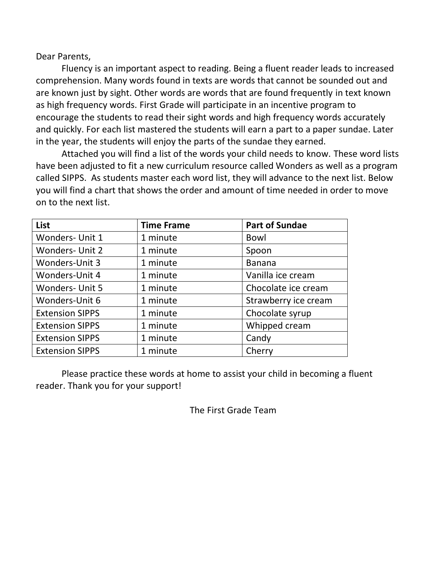Dear Parents,

Fluency is an important aspect to reading. Being a fluent reader leads to increased comprehension. Many words found in texts are words that cannot be sounded out and are known just by sight. Other words are words that are found frequently in text known as high frequency words. First Grade will participate in an incentive program to encourage the students to read their sight words and high frequency words accurately and quickly. For each list mastered the students will earn a part to a paper sundae. Later in the year, the students will enjoy the parts of the sundae they earned.

Attached you will find a list of the words your child needs to know. These word lists have been adjusted to fit a new curriculum resource called Wonders as well as a program called SIPPS. As students master each word list, they will advance to the next list. Below you will find a chart that shows the order and amount of time needed in order to move on to the next list.

| List                   | <b>Time Frame</b> | <b>Part of Sundae</b> |
|------------------------|-------------------|-----------------------|
| <b>Wonders- Unit 1</b> | 1 minute          | <b>Bowl</b>           |
| <b>Wonders- Unit 2</b> | 1 minute          | Spoon                 |
| Wonders-Unit 3         | 1 minute          | <b>Banana</b>         |
| Wonders-Unit 4         | 1 minute          | Vanilla ice cream     |
| <b>Wonders- Unit 5</b> | 1 minute          | Chocolate ice cream   |
| Wonders-Unit 6         | 1 minute          | Strawberry ice cream  |
| <b>Extension SIPPS</b> | 1 minute          | Chocolate syrup       |
| <b>Extension SIPPS</b> | 1 minute          | Whipped cream         |
| <b>Extension SIPPS</b> | 1 minute          | Candy                 |
| <b>Extension SIPPS</b> | 1 minute          | Cherry                |

Please practice these words at home to assist your child in becoming a fluent reader. Thank you for your support!

The First Grade Team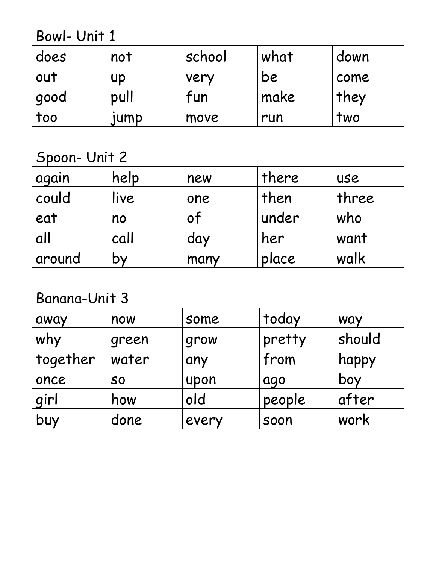Bowl- Unit 1

| does   | not  | school | what | down |
|--------|------|--------|------|------|
| out    | UD   | very   | be   | come |
| ' good | pull | tun    | make | they |
| too    | IUMP | move   | run  | two  |

Spoon- Unit 2

| again  | help      | new  | there | <b>USE</b> |
|--------|-----------|------|-------|------------|
| could  | live      | one  | then  | three      |
| eat    | no        | 0Ť   | under | who        |
| all    | call      | day  | her   | want       |
| around | <b>DY</b> | many | place | walk       |

Banana-Unit 3

| away     | now       | some  | today  | <b>WAY</b> |
|----------|-----------|-------|--------|------------|
| why      | green     | grow  | pretty | should     |
| together | water     | any   | from   | happy      |
| once     | <b>SO</b> | upon  | ago    | boy        |
| girl     | how       | old   | people | after      |
| buy      | done      | every | soon   | work       |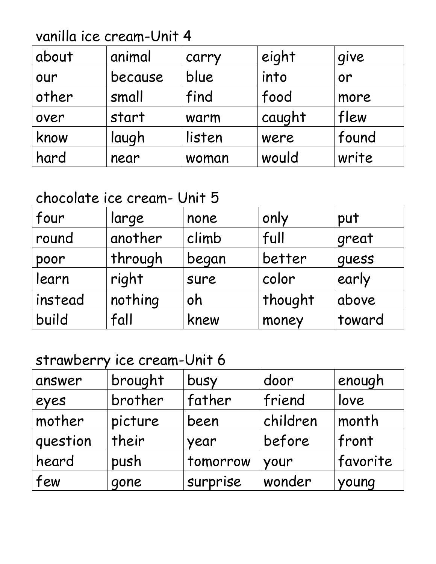vanilla ice cream-Unit 4

| about | animal  | carry  | eight  | give  |
|-------|---------|--------|--------|-------|
| our   | because | blue   | into   | or    |
| other | small   | find   | food   | more  |
| over  | start   | warm   | caught | flew  |
| know  | laugh   | listen | were   | found |
| hard  | near    | woman  | would  | write |

#### chocolate ice cream- Unit 5

| four    | large   | none  | only    | put    |
|---------|---------|-------|---------|--------|
| round   | another | climb | full    | great  |
| poor    | through | began | better  | quess  |
| learn   | right   | sure  | color   | early  |
| instead | nothing | oh    | thought | above  |
| build   | fall    | knew  | money   | toward |

#### strawberry ice cream-Unit 6

| answer   | brought | busy     | door     | enough   |
|----------|---------|----------|----------|----------|
| eyes     | brother | father   | friend   | love     |
| mother   | picture | been     | children | month    |
| question | their   | year     | before   | front    |
| heard    | push    | tomorrow | your     | favorite |
| few      | gone    | surprise | wonder   | young    |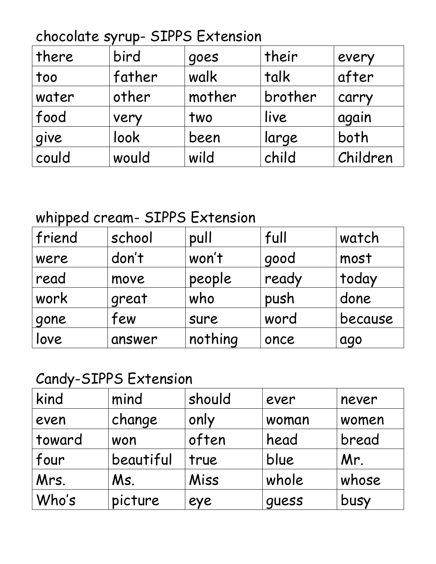## chocolate syrup- SIPPS Extension

| there | bird   | goes   | their   | every    |
|-------|--------|--------|---------|----------|
| too   | father | walk   | talk    | after    |
| water | other  | mother | brother | carry    |
| food  | very   | two    | live    | again    |
| give  | look   | been   | large   | both     |
| could | would  | wild   | child   | Children |

### whipped cream- SIPPS Extension

| friend | school | pull    | full  | watch   |
|--------|--------|---------|-------|---------|
| were   | don't  | won't   | good  | most    |
| read   | move   | people  | ready | today   |
| work   | great  | who     | push  | done    |
| gone   | few    | sure    | word  | because |
| love   | answer | nothing | once  | ago     |

### Candy-SIPPS Extension

| kind   | mind      | should | ever  | never |
|--------|-----------|--------|-------|-------|
| even   | change    | only   | woman | women |
| toward | won       | often  | head  | bread |
| four   | beautiful | true   | blue  | Mr.   |
| Mrs.   | Ms.       | Miss   | whole | whose |
| Who's  | picture   | eye    | quess | busy  |